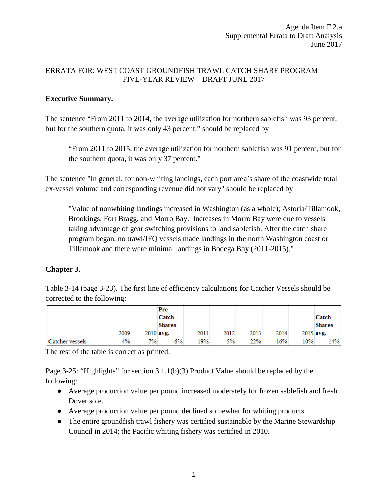## ERRATA FOR: WEST COAST GROUNDFISH TRAWL CATCH SHARE PROGRAM FIVE-YEAR REVIEW – DRAFT JUNE 2017

## **Executive Summary.**

The sentence "From 2011 to 2014, the average utilization for northern sablefish was 93 percent, but for the southern quota, it was only 43 percent." should be replaced by

"From 2011 to 2015, the average utilization for northern sablefish was 91 percent, but for the southern quota, it was only 37 percent."

The sentence "In general, for non-whiting landings, each port area's share of the coastwide total ex-vessel volume and corresponding revenue did not vary" should be replaced by

"Value of nonwhiting landings increased in Washington (as a whole); Astoria/Tillamook, Brookings, Fort Bragg, and Morro Bay. Increases in Morro Bay were due to vessels taking advantage of gear switching provisions to land sablefish. After the catch share program began, no trawl/IFQ vessels made landings in the north Washington coast or Tillamook and there were minimal landings in Bodega Bay (2011-2015)."

## **Chapter 3.**

Table 3-14 (page 3-23). The first line of efficiency calculations for Catcher Vessels should be corrected to the following:

|                 |      |    | Pre-          |      |      |      |      |     |               |
|-----------------|------|----|---------------|------|------|------|------|-----|---------------|
|                 |      |    | Catch         |      |      |      |      |     | Catch         |
|                 |      |    | <b>Shares</b> |      |      |      |      |     | <b>Shares</b> |
|                 | 2009 |    | $2010$ avg.   | 2011 | 2012 | 2013 | 2014 |     | 2015 avg.     |
| Catcher vessels | 4%   | 7% | 6%            | 19%  | 5%   | 22%  | 16%  | 10% | 14%           |

The rest of the table is correct as printed.

Page 3-25: "Highlights" for section 3.1.1(b)(3) Product Value should be replaced by the following:

- Average production value per pound increased moderately for frozen sablefish and fresh Dover sole.
- Average production value per pound declined somewhat for whiting products.
- The entire ground fishery was certified sustainable by the Marine Stewardship Council in 2014; the Pacific whiting fishery was certified in 2010.